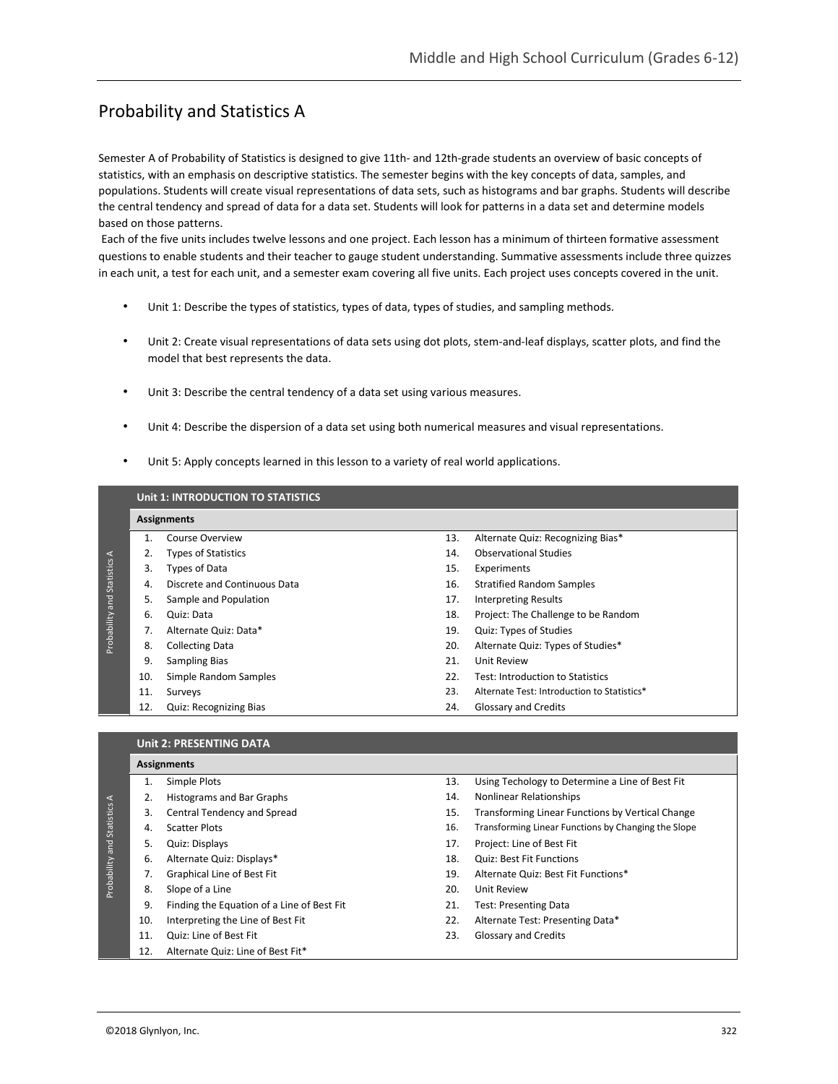# Probability and Statistics A

Semester A of Probability of Statistics is designed to give 11th- and 12th-grade students an overview of basic concepts of statistics, with an emphasis on descriptive statistics. The semester begins with the key concepts of data, samples, and populations. Students will create visual representations of data sets, such as histograms and bar graphs. Students will describe the central tendency and spread of data for a data set. Students will look for patterns in a data set and determine models based on those patterns.

Each of the five units includes twelve lessons and one project. Each lesson has a minimum of thirteen formative assessment questions to enable students and their teacher to gauge student understanding. Summative assessments include three quizzes in each unit, a test for each unit, and a semester exam covering all five units. Each project uses concepts covered in the unit.

- Unit 1: Describe the types of statistics, types of data, types of studies, and sampling methods.
- Unit 2: Create visual representations of data sets using dot plots, stem-and-leaf displays, scatter plots, and find the model that best represents the data.
- Unit 3: Describe the central tendency of a data set using various measures.
- Unit 4: Describe the dispersion of a data set using both numerical measures and visual representations.
- Unit 5: Apply concepts learned in this lesson to a variety of real world applications.

|                                                       | Unit 1: INTRODUCTION TO STATISTICS |                              |     |                                             |  |  |  |
|-------------------------------------------------------|------------------------------------|------------------------------|-----|---------------------------------------------|--|--|--|
|                                                       | <b>Assignments</b>                 |                              |     |                                             |  |  |  |
| $\prec$<br>Statistics<br>$\frac{1}{2}$<br>Probability |                                    | Course Overview              | 13. | Alternate Quiz: Recognizing Bias*           |  |  |  |
|                                                       |                                    | <b>Types of Statistics</b>   | 14. | <b>Observational Studies</b>                |  |  |  |
|                                                       | 3.                                 | Types of Data                | 15. | Experiments                                 |  |  |  |
|                                                       | 4.                                 | Discrete and Continuous Data | 16. | <b>Stratified Random Samples</b>            |  |  |  |
|                                                       | 5.                                 | Sample and Population        | 17. | Interpreting Results                        |  |  |  |
|                                                       | 6.                                 | Quiz: Data                   | 18. | Project: The Challenge to be Random         |  |  |  |
|                                                       |                                    | Alternate Quiz: Data*        | 19. | Quiz: Types of Studies                      |  |  |  |
|                                                       | 8.                                 | <b>Collecting Data</b>       | 20. | Alternate Quiz: Types of Studies*           |  |  |  |
|                                                       | 9.                                 | <b>Sampling Bias</b>         | 21. | Unit Review                                 |  |  |  |
|                                                       | 10.                                | Simple Random Samples        | 22. | Test: Introduction to Statistics            |  |  |  |
|                                                       | 11.                                | Surveys                      | 23. | Alternate Test: Introduction to Statistics* |  |  |  |
|                                                       | 12.                                | Quiz: Recognizing Bias       | 24. | Glossary and Credits                        |  |  |  |

|                       | <b>Unit 2: PRESENTING DATA</b> |                                            |     |                                                     |  |  |
|-----------------------|--------------------------------|--------------------------------------------|-----|-----------------------------------------------------|--|--|
| $\prec$<br>Statistics | <b>Assignments</b>             |                                            |     |                                                     |  |  |
|                       |                                | Simple Plots                               | 13. | Using Techology to Determine a Line of Best Fit     |  |  |
|                       |                                | <b>Histograms and Bar Graphs</b>           | 14. | <b>Nonlinear Relationships</b>                      |  |  |
|                       | 3.                             | Central Tendency and Spread                | 15. | Transforming Linear Functions by Vertical Change    |  |  |
|                       | 4.                             | <b>Scatter Plots</b>                       | 16. | Transforming Linear Functions by Changing the Slope |  |  |
| Probability and       | 5.                             | Quiz: Displays                             | 17. | Project: Line of Best Fit                           |  |  |
|                       | 6.                             | Alternate Quiz: Displays*                  | 18. | <b>Quiz: Best Fit Functions</b>                     |  |  |
|                       |                                | Graphical Line of Best Fit                 | 19. | Alternate Quiz: Best Fit Functions*                 |  |  |
|                       | 8.                             | Slope of a Line                            | 20. | Unit Review                                         |  |  |
|                       | 9.                             | Finding the Equation of a Line of Best Fit | 21. | <b>Test: Presenting Data</b>                        |  |  |
|                       | 10.                            | Interpreting the Line of Best Fit          | 22. | Alternate Test: Presenting Data*                    |  |  |
|                       | 11.                            | Quiz: Line of Best Fit                     | 23. | <b>Glossary and Credits</b>                         |  |  |
|                       | 12.                            | Alternate Quiz: Line of Best Fit*          |     |                                                     |  |  |